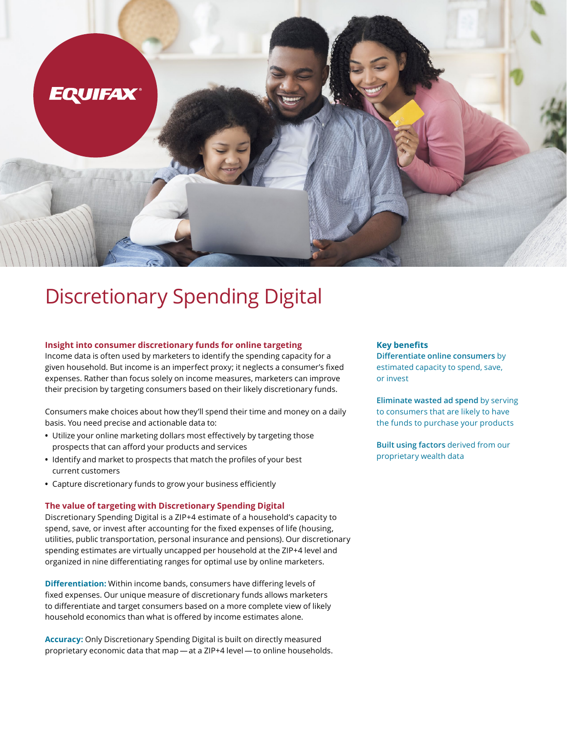

# Discretionary Spending Digital

#### **Insight into consumer discretionary funds for online targeting**

Income data is often used by marketers to identify the spending capacity for a given household. But income is an imperfect proxy; it neglects a consumer's fixed expenses. Rather than focus solely on income measures, marketers can improve their precision by targeting consumers based on their likely discretionary funds.

Consumers make choices about how they'll spend their time and money on a daily basis. You need precise and actionable data to:

- **•** Utilize your online marketing dollars most effectively by targeting those prospects that can afford your products and services
- **•** Identify and market to prospects that match the profiles of your best current customers
- **•** Capture discretionary funds to grow your business efficiently

#### **The value of targeting with Discretionary Spending Digital**

Discretionary Spending Digital is a ZIP+4 estimate of a household's capacity to spend, save, or invest after accounting for the fixed expenses of life (housing, utilities, public transportation, personal insurance and pensions). Our discretionary spending estimates are virtually uncapped per household at the ZIP+4 level and organized in nine differentiating ranges for optimal use by online marketers.

**Differentiation:** Within income bands, consumers have differing levels of fixed expenses. Our unique measure of discretionary funds allows marketers to differentiate and target consumers based on a more complete view of likely household economics than what is offered by income estimates alone.

**Accuracy:** Only Discretionary Spending Digital is built on directly measured proprietary economic data that map — at a ZIP+4 level — to online households.

#### **Key benefits**

**Differentiate online consumers** by estimated capacity to spend, save, or invest

**Eliminate wasted ad spend** by serving to consumers that are likely to have the funds to purchase your products

**Built using factors** derived from our proprietary wealth data